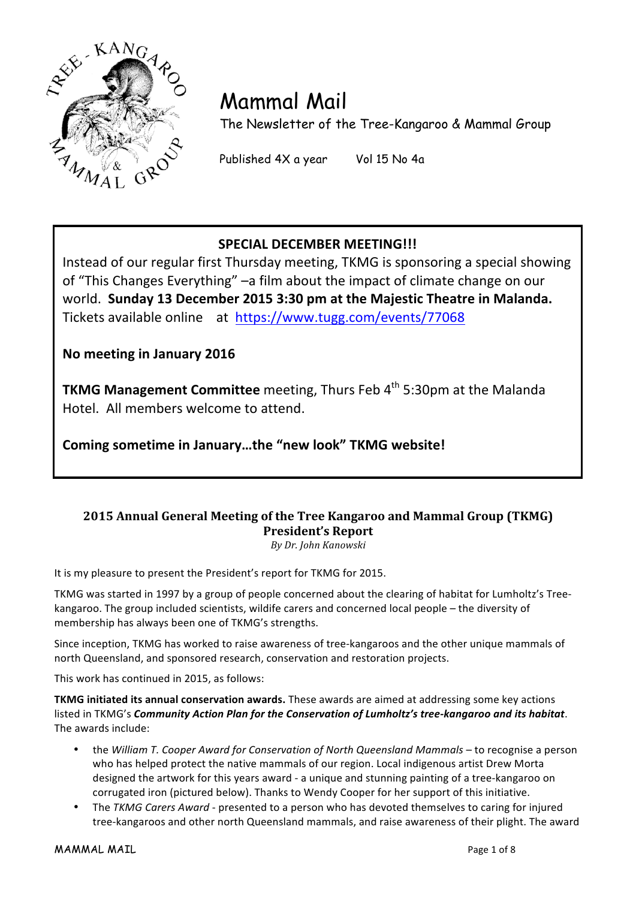

# Mammal Mail

The Newsletter of the Tree-Kangaroo & Mammal Group

Published 4X a year Vol 15 No 4a

# **SPECIAL DECEMBER MEETING!!!**

Instead of our regular first Thursday meeting, TKMG is sponsoring a special showing of "This Changes Everything" –a film about the impact of climate change on our world. Sunday 13 December 2015 3:30 pm at the Majestic Theatre in Malanda. Tickets available online at https://www.tugg.com/events/77068

**No meeting in January 2016**

**TKMG Management Committee** meeting, Thurs Feb 4<sup>th</sup> 5:30pm at the Malanda Hotel. All members welcome to attend.

Coming sometime in January...the "new look" TKMG website!

# **2015 Annual General Meeting of the Tree Kangaroo and Mammal Group (TKMG) President's Report**

*By Dr. John Kanowski*

It is my pleasure to present the President's report for TKMG for 2015.

TKMG was started in 1997 by a group of people concerned about the clearing of habitat for Lumholtz's Treekangaroo. The group included scientists, wildife carers and concerned local people - the diversity of membership has always been one of TKMG's strengths.

Since inception, TKMG has worked to raise awareness of tree-kangaroos and the other unique mammals of north Queensland, and sponsored research, conservation and restoration projects.

This work has continued in 2015, as follows:

**TKMG** initiated its annual conservation awards. These awards are aimed at addressing some key actions listed in TKMG's *Community Action Plan for the Conservation of Lumholtz's tree-kangaroo and its habitat*. The awards include:

- the *William T. Cooper Award for Conservation of North Queensland Mammals* to recognise a person who has helped protect the native mammals of our region. Local indigenous artist Drew Morta designed the artwork for this years award - a unique and stunning painting of a tree-kangaroo on corrugated iron (pictured below). Thanks to Wendy Cooper for her support of this initiative.
- The *TKMG Carers Award* presented to a person who has devoted themselves to caring for injured tree-kangaroos and other north Queensland mammals, and raise awareness of their plight. The award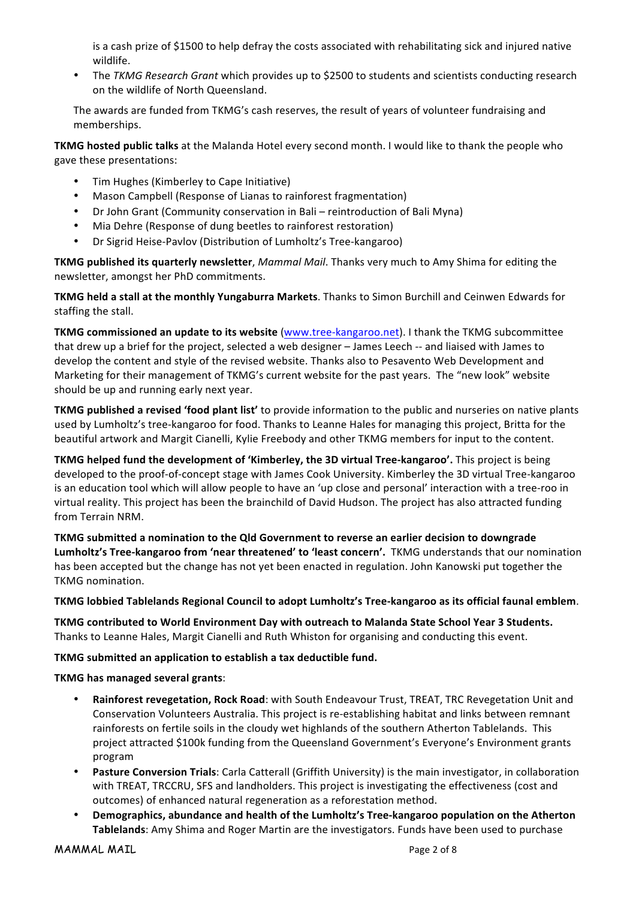is a cash prize of \$1500 to help defray the costs associated with rehabilitating sick and injured native wildlife.

The TKMG Research Grant which provides up to \$2500 to students and scientists conducting research on the wildlife of North Queensland.

The awards are funded from TKMG's cash reserves, the result of years of volunteer fundraising and memberships. 

**TKMG** hosted public talks at the Malanda Hotel every second month. I would like to thank the people who gave these presentations:

- Tim Hughes (Kimberley to Cape Initiative)
- Mason Campbell (Response of Lianas to rainforest fragmentation)
- Dr John Grant (Community conservation in Bali reintroduction of Bali Myna)
- Mia Dehre (Response of dung beetles to rainforest restoration)
- Dr Sigrid Heise-Pavlov (Distribution of Lumholtz's Tree-kangaroo)

**TKMG published its quarterly newsletter**, *Mammal Mail*. Thanks very much to Amy Shima for editing the newsletter, amongst her PhD commitments.

**TKMG held a stall at the monthly Yungaburra Markets**. Thanks to Simon Burchill and Ceinwen Edwards for staffing the stall.

**TKMG** commissioned an update to its website (www.tree-kangaroo.net). I thank the TKMG subcommittee that drew up a brief for the project, selected a web designer – James Leech -- and liaised with James to develop the content and style of the revised website. Thanks also to Pesavento Web Development and Marketing for their management of TKMG's current website for the past years. The "new look" website should be up and running early next year.

**TKMG** published a revised 'food plant list' to provide information to the public and nurseries on native plants used by Lumholtz's tree-kangaroo for food. Thanks to Leanne Hales for managing this project, Britta for the beautiful artwork and Margit Cianelli, Kylie Freebody and other TKMG members for input to the content.

**TKMG** helped fund the development of 'Kimberley, the 3D virtual Tree-kangaroo'. This project is being developed to the proof-of-concept stage with James Cook University. Kimberley the 3D virtual Tree-kangaroo is an education tool which will allow people to have an 'up close and personal' interaction with a tree-roo in virtual reality. This project has been the brainchild of David Hudson. The project has also attracted funding from Terrain NRM.

TKMG submitted a nomination to the Qld Government to reverse an earlier decision to downgrade Lumholtz's Tree-kangaroo from 'near threatened' to 'least concern'. TKMG understands that our nomination has been accepted but the change has not yet been enacted in regulation. John Kanowski put together the **TKMG** nomination.

#### TKMG lobbied Tablelands Regional Council to adopt Lumholtz's Tree-kangaroo as its official faunal emblem.

**TKMG** contributed to World Environment Day with outreach to Malanda State School Year 3 Students. Thanks to Leanne Hales, Margit Cianelli and Ruth Whiston for organising and conducting this event.

#### **TKMG** submitted an application to establish a tax deductible fund.

#### **TKMG has managed several grants**:

- Rainforest revegetation, Rock Road: with South Endeavour Trust, TREAT, TRC Revegetation Unit and Conservation Volunteers Australia. This project is re-establishing habitat and links between remnant rainforests on fertile soils in the cloudy wet highlands of the southern Atherton Tablelands. This project attracted \$100k funding from the Queensland Government's Everyone's Environment grants program
- Pasture Conversion Trials: Carla Catterall (Griffith University) is the main investigator, in collaboration with TREAT, TRCCRU, SFS and landholders. This project is investigating the effectiveness (cost and outcomes) of enhanced natural regeneration as a reforestation method.
- **Demographics, abundance and health of the Lumholtz's Tree-kangaroo population on the Atherton Tablelands**: Amy Shima and Roger Martin are the investigators. Funds have been used to purchase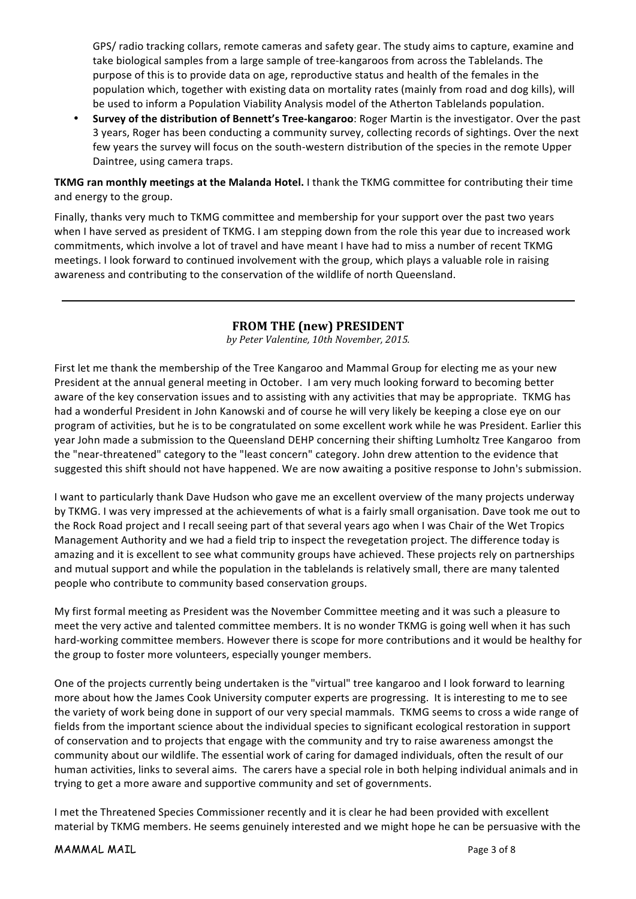GPS/ radio tracking collars, remote cameras and safety gear. The study aims to capture, examine and take biological samples from a large sample of tree-kangaroos from across the Tablelands. The purpose of this is to provide data on age, reproductive status and health of the females in the population which, together with existing data on mortality rates (mainly from road and dog kills), will be used to inform a Population Viability Analysis model of the Atherton Tablelands population.

**Survey of the distribution of Bennett's Tree-kangaroo**: Roger Martin is the investigator. Over the past 3 years, Roger has been conducting a community survey, collecting records of sightings. Over the next few years the survey will focus on the south-western distribution of the species in the remote Upper Daintree, using camera traps.

**TKMG** ran monthly meetings at the Malanda Hotel. I thank the TKMG committee for contributing their time and energy to the group.

Finally, thanks very much to TKMG committee and membership for your support over the past two years when I have served as president of TKMG. I am stepping down from the role this year due to increased work commitments, which involve a lot of travel and have meant I have had to miss a number of recent TKMG meetings. I look forward to continued involvement with the group, which plays a valuable role in raising awareness and contributing to the conservation of the wildlife of north Queensland.

#### **FROM THE (new) PRESIDENT**

*by Peter Valentine, 10th November, 2015.*

First let me thank the membership of the Tree Kangaroo and Mammal Group for electing me as your new President at the annual general meeting in October. I am very much looking forward to becoming better aware of the key conservation issues and to assisting with any activities that may be appropriate. TKMG has had a wonderful President in John Kanowski and of course he will very likely be keeping a close eye on our program of activities, but he is to be congratulated on some excellent work while he was President. Earlier this year John made a submission to the Queensland DEHP concerning their shifting Lumholtz Tree Kangaroo from the "near-threatened" category to the "least concern" category. John drew attention to the evidence that suggested this shift should not have happened. We are now awaiting a positive response to John's submission.

I want to particularly thank Dave Hudson who gave me an excellent overview of the many projects underway by TKMG. I was very impressed at the achievements of what is a fairly small organisation. Dave took me out to the Rock Road project and I recall seeing part of that several years ago when I was Chair of the Wet Tropics Management Authority and we had a field trip to inspect the revegetation project. The difference today is amazing and it is excellent to see what community groups have achieved. These projects rely on partnerships and mutual support and while the population in the tablelands is relatively small, there are many talented people who contribute to community based conservation groups.

My first formal meeting as President was the November Committee meeting and it was such a pleasure to meet the very active and talented committee members. It is no wonder TKMG is going well when it has such hard-working committee members. However there is scope for more contributions and it would be healthy for the group to foster more volunteers, especially younger members.

One of the projects currently being undertaken is the "virtual" tree kangaroo and I look forward to learning more about how the James Cook University computer experts are progressing. It is interesting to me to see the variety of work being done in support of our very special mammals. TKMG seems to cross a wide range of fields from the important science about the individual species to significant ecological restoration in support of conservation and to projects that engage with the community and try to raise awareness amongst the community about our wildlife. The essential work of caring for damaged individuals, often the result of our human activities, links to several aims. The carers have a special role in both helping individual animals and in trying to get a more aware and supportive community and set of governments.

I met the Threatened Species Commissioner recently and it is clear he had been provided with excellent material by TKMG members. He seems genuinely interested and we might hope he can be persuasive with the

MAMMAL MAIL Page 3 of 8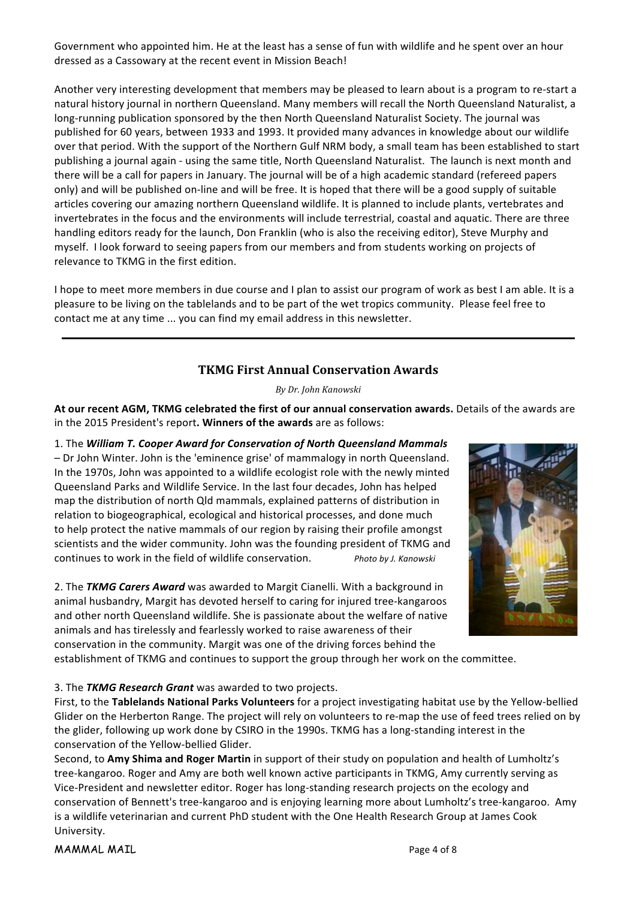Government who appointed him. He at the least has a sense of fun with wildlife and he spent over an hour dressed as a Cassowary at the recent event in Mission Beach!

Another very interesting development that members may be pleased to learn about is a program to re-start a natural history journal in northern Queensland. Many members will recall the North Queensland Naturalist, a long-running publication sponsored by the then North Queensland Naturalist Society. The journal was published for 60 years, between 1933 and 1993. It provided many advances in knowledge about our wildlife over that period. With the support of the Northern Gulf NRM body, a small team has been established to start publishing a journal again - using the same title, North Queensland Naturalist. The launch is next month and there will be a call for papers in January. The journal will be of a high academic standard (refereed papers only) and will be published on-line and will be free. It is hoped that there will be a good supply of suitable articles covering our amazing northern Queensland wildlife. It is planned to include plants, vertebrates and invertebrates in the focus and the environments will include terrestrial, coastal and aquatic. There are three handling editors ready for the launch, Don Franklin (who is also the receiving editor), Steve Murphy and myself. I look forward to seeing papers from our members and from students working on projects of relevance to TKMG in the first edition.

I hope to meet more members in due course and I plan to assist our program of work as best I am able. It is a pleasure to be living on the tablelands and to be part of the wet tropics community. Please feel free to contact me at any time ... you can find my email address in this newsletter.

#### **TKMG First Annual Conservation Awards**

*By Dr. John Kanowski*

At our recent AGM, TKMG celebrated the first of our annual conservation awards. Details of the awards are in the 2015 President's report. Winners of the awards are as follows:

1. The William T. Cooper Award for Conservation of North Queensland Mammals – Dr John Winter. John is the 'eminence grise' of mammalogy in north Queensland. In the 1970s, John was appointed to a wildlife ecologist role with the newly minted Queensland Parks and Wildlife Service. In the last four decades, John has helped map the distribution of north Qld mammals, explained patterns of distribution in relation to biogeographical, ecological and historical processes, and done much to help protect the native mammals of our region by raising their profile amongst scientists and the wider community. John was the founding president of TKMG and continues to work in the field of wildlife conservation. *Photo by J. Kanowski* 

2. The **TKMG Carers Award** was awarded to Margit Cianelli. With a background in animal husbandry, Margit has devoted herself to caring for injured tree-kangaroos and other north Queensland wildlife. She is passionate about the welfare of native animals and has tirelessly and fearlessly worked to raise awareness of their conservation in the community. Margit was one of the driving forces behind the



establishment of TKMG and continues to support the group through her work on the committee.

#### 3. The **TKMG Research Grant** was awarded to two projects.

First, to the Tablelands National Parks Volunteers for a project investigating habitat use by the Yellow-bellied Glider on the Herberton Range. The project will rely on volunteers to re-map the use of feed trees relied on by the glider, following up work done by CSIRO in the 1990s. TKMG has a long-standing interest in the conservation of the Yellow-bellied Glider.

Second, to Amy Shima and Roger Martin in support of their study on population and health of Lumholtz's tree-kangaroo. Roger and Amy are both well known active participants in TKMG, Amy currently serving as Vice-President and newsletter editor. Roger has long-standing research projects on the ecology and conservation of Bennett's tree-kangaroo and is enjoying learning more about Lumholtz's tree-kangaroo. Amy is a wildlife veterinarian and current PhD student with the One Health Research Group at James Cook University.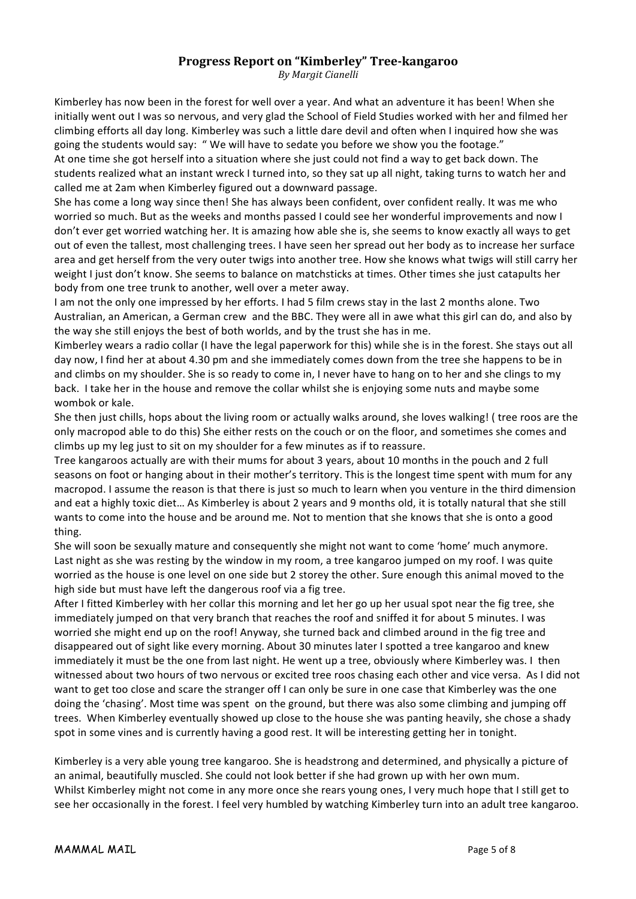#### **Progress Report on "Kimberley" Tree-kangaroo**

*By Margit Cianelli*

Kimberley has now been in the forest for well over a year. And what an adventure it has been! When she initially went out I was so nervous, and very glad the School of Field Studies worked with her and filmed her climbing efforts all day long. Kimberley was such a little dare devil and often when I inquired how she was going the students would say: " We will have to sedate you before we show you the footage."

At one time she got herself into a situation where she just could not find a way to get back down. The students realized what an instant wreck I turned into, so they sat up all night, taking turns to watch her and called me at 2am when Kimberley figured out a downward passage.

She has come a long way since then! She has always been confident, over confident really. It was me who worried so much. But as the weeks and months passed I could see her wonderful improvements and now I don't ever get worried watching her. It is amazing how able she is, she seems to know exactly all ways to get out of even the tallest, most challenging trees. I have seen her spread out her body as to increase her surface area and get herself from the very outer twigs into another tree. How she knows what twigs will still carry her weight I just don't know. She seems to balance on matchsticks at times. Other times she just catapults her body from one tree trunk to another, well over a meter away.

I am not the only one impressed by her efforts. I had 5 film crews stay in the last 2 months alone. Two Australian, an American, a German crew and the BBC. They were all in awe what this girl can do, and also by the way she still enjoys the best of both worlds, and by the trust she has in me.

Kimberley wears a radio collar (I have the legal paperwork for this) while she is in the forest. She stays out all day now, I find her at about 4.30 pm and she immediately comes down from the tree she happens to be in and climbs on my shoulder. She is so ready to come in, I never have to hang on to her and she clings to my back. I take her in the house and remove the collar whilst she is enjoying some nuts and maybe some wombok or kale.

She then just chills, hops about the living room or actually walks around, she loves walking! ( tree roos are the only macropod able to do this) She either rests on the couch or on the floor, and sometimes she comes and climbs up my leg just to sit on my shoulder for a few minutes as if to reassure.

Tree kangaroos actually are with their mums for about 3 years, about 10 months in the pouch and 2 full seasons on foot or hanging about in their mother's territory. This is the longest time spent with mum for any macropod. I assume the reason is that there is just so much to learn when you venture in the third dimension and eat a highly toxic diet... As Kimberley is about 2 years and 9 months old, it is totally natural that she still wants to come into the house and be around me. Not to mention that she knows that she is onto a good thing. 

She will soon be sexually mature and consequently she might not want to come 'home' much anymore. Last night as she was resting by the window in my room, a tree kangaroo jumped on my roof. I was quite worried as the house is one level on one side but 2 storey the other. Sure enough this animal moved to the high side but must have left the dangerous roof via a fig tree.

After I fitted Kimberley with her collar this morning and let her go up her usual spot near the fig tree, she immediately jumped on that very branch that reaches the roof and sniffed it for about 5 minutes. I was worried she might end up on the roof! Anyway, she turned back and climbed around in the fig tree and disappeared out of sight like every morning. About 30 minutes later I spotted a tree kangaroo and knew immediately it must be the one from last night. He went up a tree, obviously where Kimberley was. I then witnessed about two hours of two nervous or excited tree roos chasing each other and vice versa. As I did not want to get too close and scare the stranger off I can only be sure in one case that Kimberley was the one doing the 'chasing'. Most time was spent on the ground, but there was also some climbing and jumping off trees. When Kimberley eventually showed up close to the house she was panting heavily, she chose a shady spot in some vines and is currently having a good rest. It will be interesting getting her in tonight.

Kimberley is a very able young tree kangaroo. She is headstrong and determined, and physically a picture of an animal, beautifully muscled. She could not look better if she had grown up with her own mum. Whilst Kimberley might not come in any more once she rears young ones, I very much hope that I still get to see her occasionally in the forest. I feel very humbled by watching Kimberley turn into an adult tree kangaroo.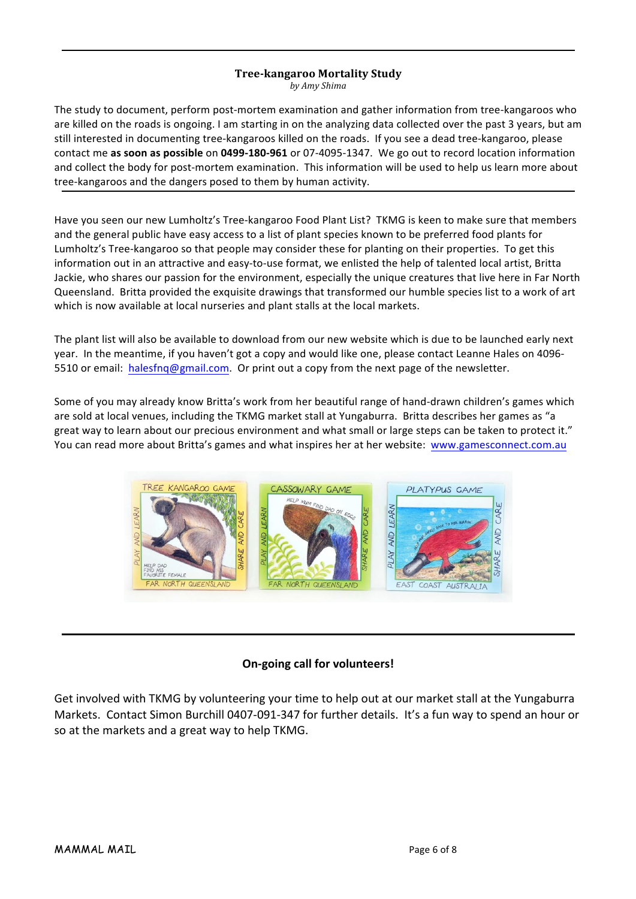# **Tree-kangaroo Mortality Study**

*by Amy Shima*

The study to document, perform post-mortem examination and gather information from tree-kangaroos who are killed on the roads is ongoing. I am starting in on the analyzing data collected over the past 3 years, but am still interested in documenting tree-kangaroos killed on the roads. If you see a dead tree-kangaroo, please contact me as soon as possible on 0499-180-961 or 07-4095-1347. We go out to record location information and collect the body for post-mortem examination. This information will be used to help us learn more about tree-kangaroos and the dangers posed to them by human activity.

Have you seen our new Lumholtz's Tree-kangaroo Food Plant List? TKMG is keen to make sure that members and the general public have easy access to a list of plant species known to be preferred food plants for Lumholtz's Tree-kangaroo so that people may consider these for planting on their properties. To get this information out in an attractive and easy-to-use format, we enlisted the help of talented local artist, Britta Jackie, who shares our passion for the environment, especially the unique creatures that live here in Far North Queensland. Britta provided the exquisite drawings that transformed our humble species list to a work of art which is now available at local nurseries and plant stalls at the local markets.

The plant list will also be available to download from our new website which is due to be launched early next year. In the meantime, if you haven't got a copy and would like one, please contact Leanne Hales on 4096-5510 or email: halesfnq@gmail.com. Or print out a copy from the next page of the newsletter.

Some of you may already know Britta's work from her beautiful range of hand-drawn children's games which are sold at local venues, including the TKMG market stall at Yungaburra. Britta describes her games as "a great way to learn about our precious environment and what small or large steps can be taken to protect it." You can read more about Britta's games and what inspires her at her website: www.gamesconnect.com.au



### **On-going call for volunteers!**

Get involved with TKMG by volunteering your time to help out at our market stall at the Yungaburra Markets. Contact Simon Burchill 0407-091-347 for further details. It's a fun way to spend an hour or so at the markets and a great way to help TKMG.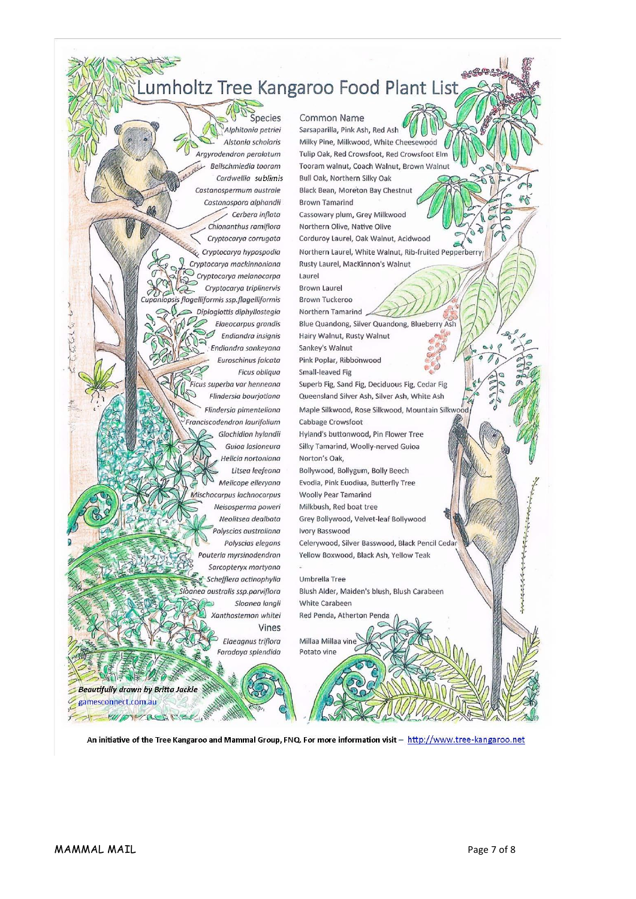# umholtz Tree Kangaroo Food Plant List

Species Alphitonia petriei Alstonia scholaris Argyrodendron peralatum L Beilschmiedig tooram Cardwellia sublimis Castanospermum australe Castanospora alphandii Cerbera inflata Chionanthus ramiflora Cryptocarya corrugata Cryptocarya hypospodia Cryptocarya mackinnoniana Cryptocarya melanocarpa Cryptocarya triplinervis opsis flagelliformis ssp.flagelliformis Diploglottis diphyllostegia Elaeocarpus grandis Endiandra insignis Endiandra sankeyana Euroschinus falcata **Ficus obliqua** .<br>Ficus superba var henneana Flindersia bourjotiana Flindersia pimenteliana Franciscodendron laurifolium Glochidion hylandii Guioa lasioneura Helicia nortoniana Litsea leefeana Melicope elleryana Mischocarpus lachnocarpus Neisosperma poweri Neolitsea dealbata olyscias australiana Polyscias elegans Pouteria myrsinodendron Sarcopteryx martyana Schefflera actinophylla anea australis ssp.parviflora Sloanea langli Xanthostemon whitei Vines Elaeagnus triflora Faradaya splendida

Common Name Sarsaparilla, Pink Ash, Red Ash Milky Pine, Milkwood, White Cheesewood Tulip Oak, Red Crowsfoot, Red Crowsfoot Elm Tooram walnut, Coach Walnut, Brown Walnut Bull Oak, Northern Silky Oak **Black Bean, Moreton Bay Chestnut Brown Tamarind** Cassowary plum, Grey Milkwood Northern Olive, Native Olive Corduroy Laurel, Oak Walnut, Acidwood Northern Laurel, White Walnut, Rib-fruited Pepperberry Rusty Laurel, MacKinnon's Walnut Laurel **Brown Laurel Brown Tuckeroo** Northern Tamarind Blue Quandong, Silver Quandong, Blueberry Ash Hairy Walnut, Rusty Walnut Sankey's Walnut Pink Poplar, Ribbonwood Small-leaved Fig Superb Fig, Sand Fig, Deciduous Fig, Cedar Fig Queensland Silver Ash, Silver Ash, White Ash Maple Silkwood, Rose Silkwood, Mountain Silkwoo Cabbage Crowsfoot Hyland's buttonwood, Pin Flower Tree Silky Tamarind, Woolly-nerved Guioa Norton's Oak, Bollywood, Bollygum, Bolly Beech Evodia, Pink Euodiua, Butterfly Tree **Woolly Pear Tamarind** Milkbush, Red boat tree Grey Bollywood, Velvet-leaf Bollywood Ivory Basswood Celerywood, Silver Basswood, Black Pencil Ceda Yellow Boxwood, Black Ash, Yellow Teak Umbrella Tree Blush Alder, Maiden's blush, Blush Carabeen White Carabeen Red Penda, Atherton Penda Millaa Millaa vir Potato vine

An initiative of the Tree Kangaroo and Mammal Group, FNQ. For more information visit - http://www.tree-kangaroo.net

**Beautifully drawn by Britta Jackle** 

EVIDYCLASHER

gamesconnect.com.au

 $f = 1$ 

Ed Co